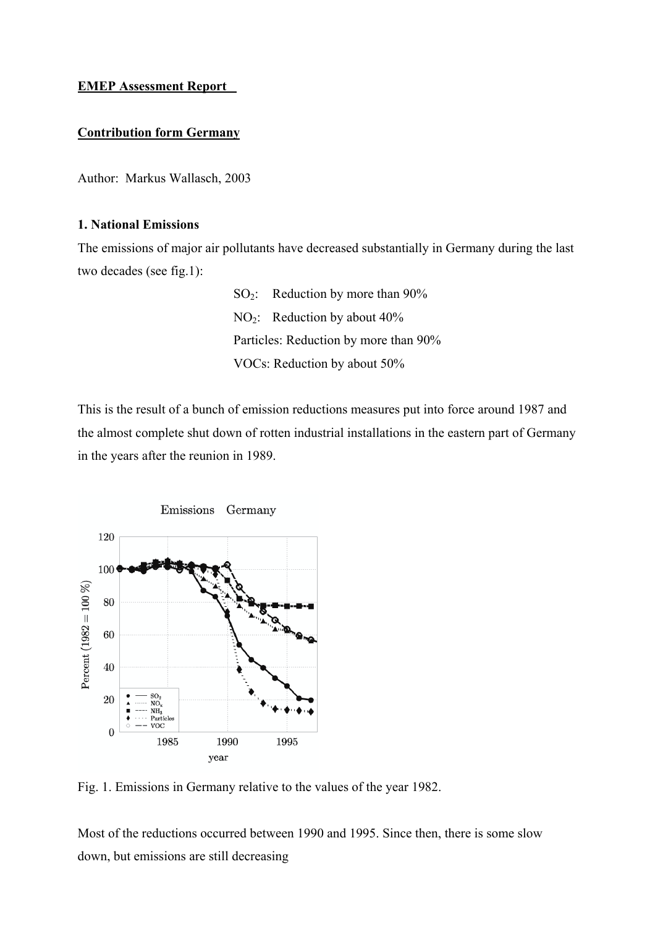# **EMEP Assessment Report**

# **Contribution form Germany**

Author: Markus Wallasch, 2003

## **1. National Emissions**

The emissions of major air pollutants have decreased substantially in Germany during the last two decades (see fig.1):

> SO2: Reduction by more than 90% NO2: Reduction by about 40% Particles: Reduction by more than 90% VOCs: Reduction by about 50%

This is the result of a bunch of emission reductions measures put into force around 1987 and the almost complete shut down of rotten industrial installations in the eastern part of Germany in the years after the reunion in 1989.



Fig. 1. Emissions in Germany relative to the values of the year 1982.

Most of the reductions occurred between 1990 and 1995. Since then, there is some slow down, but emissions are still decreasing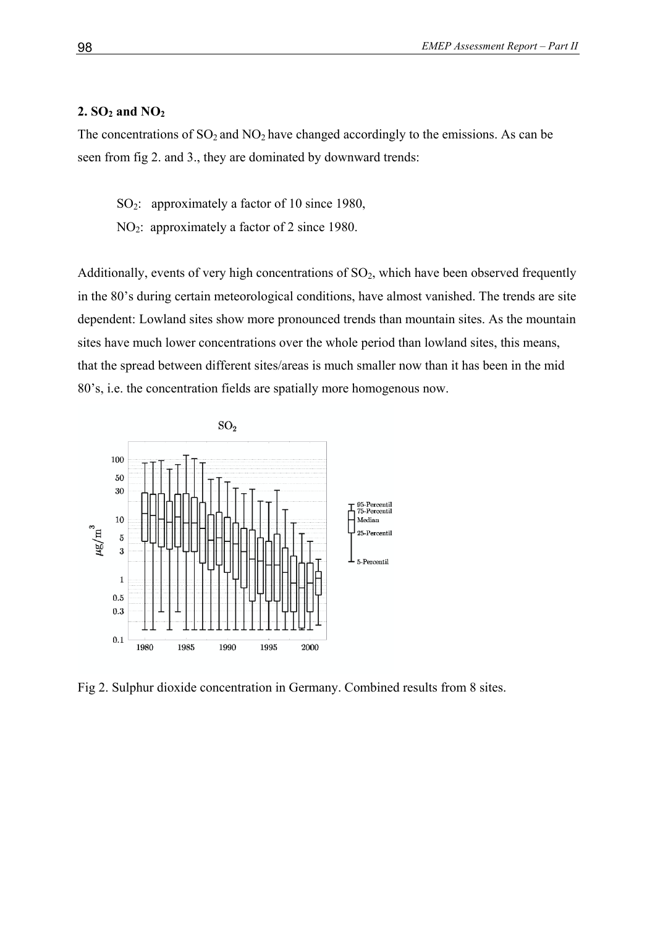## **2. SO2 and NO2**

The concentrations of  $SO_2$  and  $NO_2$  have changed accordingly to the emissions. As can be seen from fig 2. and 3., they are dominated by downward trends:

SO<sub>2</sub>: approximately a factor of 10 since 1980,

NO<sub>2</sub>: approximately a factor of 2 since 1980.

Additionally, events of very high concentrations of  $SO<sub>2</sub>$ , which have been observed frequently in the 80's during certain meteorological conditions, have almost vanished. The trends are site dependent: Lowland sites show more pronounced trends than mountain sites. As the mountain sites have much lower concentrations over the whole period than lowland sites, this means, that the spread between different sites/areas is much smaller now than it has been in the mid 80's, i.e. the concentration fields are spatially more homogenous now.



Fig 2. Sulphur dioxide concentration in Germany. Combined results from 8 sites.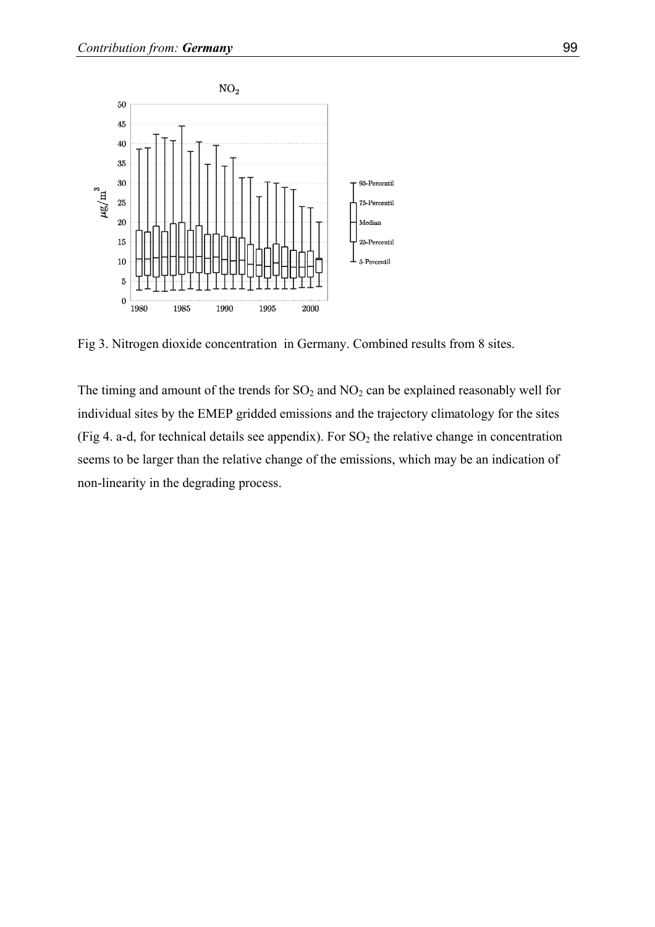

Fig 3. Nitrogen dioxide concentration in Germany. Combined results from 8 sites.

The timing and amount of the trends for  $SO_2$  and  $NO_2$  can be explained reasonably well for individual sites by the EMEP gridded emissions and the trajectory climatology for the sites (Fig 4. a-d, for technical details see appendix). For  $SO<sub>2</sub>$  the relative change in concentration seems to be larger than the relative change of the emissions, which may be an indication of non-linearity in the degrading process.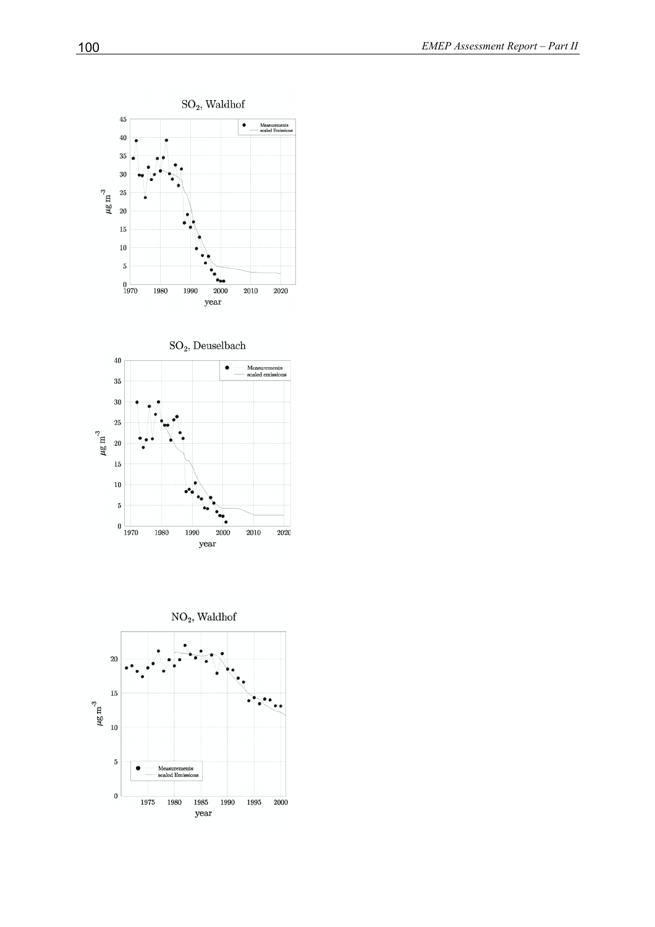



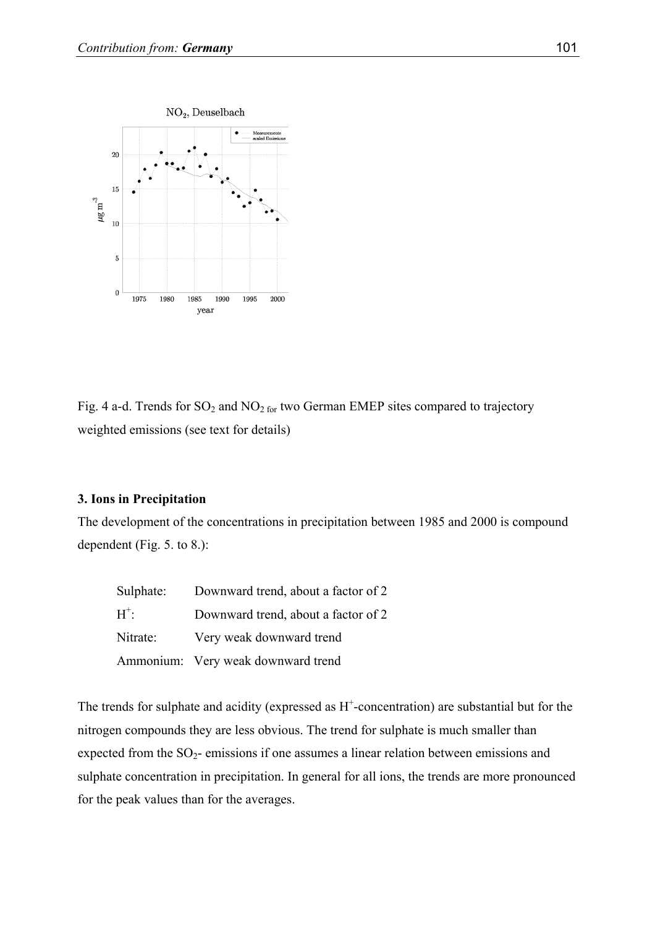

Fig. 4 a-d. Trends for  $SO_2$  and  $NO_2$  for two German EMEP sites compared to trajectory weighted emissions (see text for details)

## **3. Ions in Precipitation**

The development of the concentrations in precipitation between 1985 and 2000 is compound dependent (Fig. 5. to 8.):

| Sulphate: | Downward trend, about a factor of 2 |
|-----------|-------------------------------------|
| $H^+$     | Downward trend, about a factor of 2 |
| Nitrate:  | Very weak downward trend            |
|           | Ammonium: Very weak downward trend  |

The trends for sulphate and acidity (expressed as  $H^+$ -concentration) are substantial but for the nitrogen compounds they are less obvious. The trend for sulphate is much smaller than expected from the  $SO_2$ - emissions if one assumes a linear relation between emissions and sulphate concentration in precipitation. In general for all ions, the trends are more pronounced for the peak values than for the averages.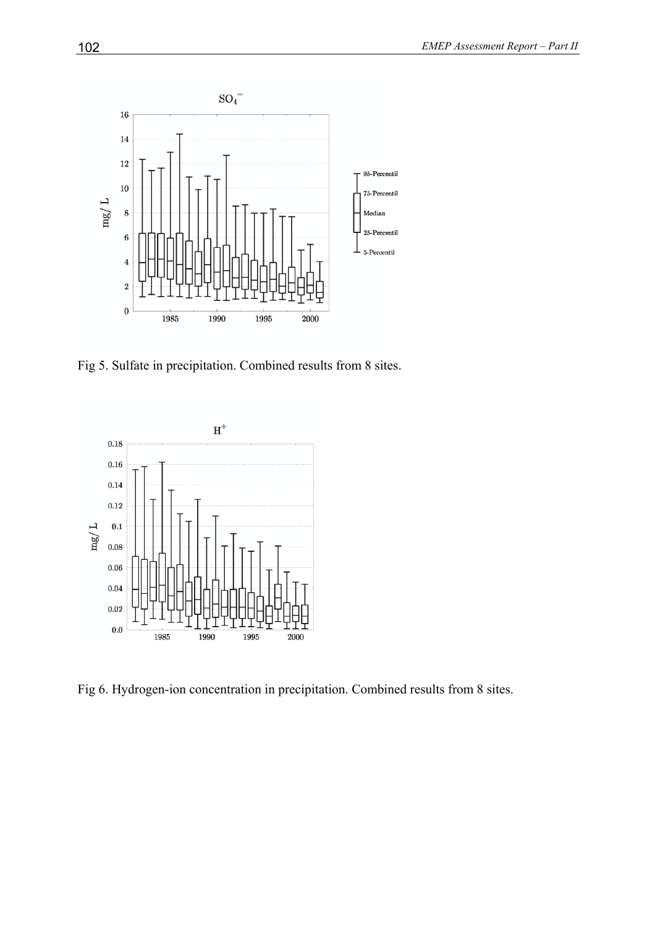

Fig 5. Sulfate in precipitation. Combined results from 8 sites.



Fig 6. Hydrogen-ion concentration in precipitation. Combined results from 8 sites.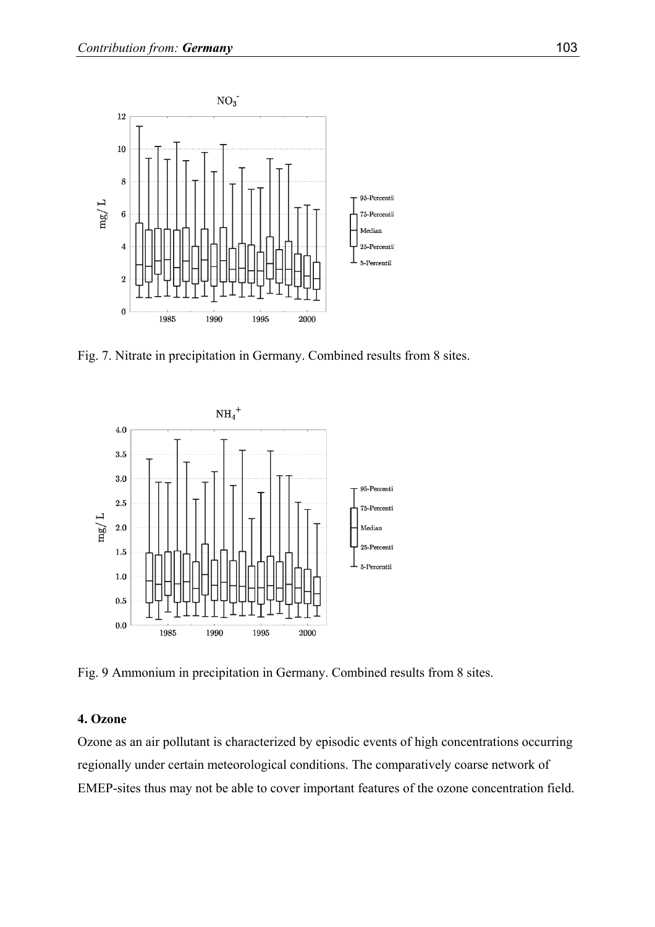![](_page_6_Figure_1.jpeg)

Fig. 7. Nitrate in precipitation in Germany. Combined results from 8 sites.

![](_page_6_Figure_3.jpeg)

Fig. 9 Ammonium in precipitation in Germany. Combined results from 8 sites.

# **4. Ozone**

Ozone as an air pollutant is characterized by episodic events of high concentrations occurring regionally under certain meteorological conditions. The comparatively coarse network of EMEP-sites thus may not be able to cover important features of the ozone concentration field.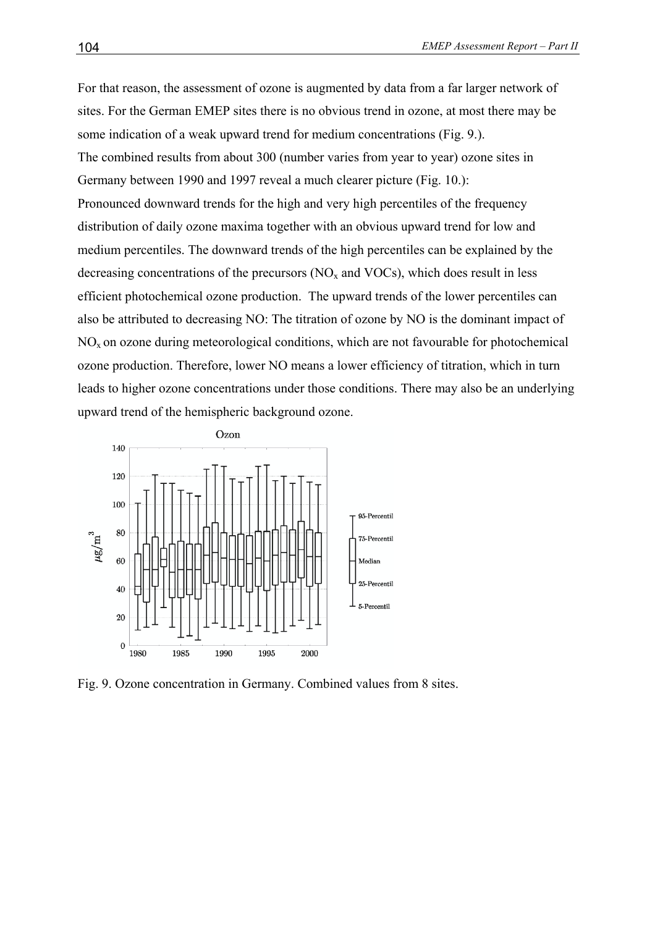For that reason, the assessment of ozone is augmented by data from a far larger network of sites. For the German EMEP sites there is no obvious trend in ozone, at most there may be some indication of a weak upward trend for medium concentrations (Fig. 9.). The combined results from about 300 (number varies from year to year) ozone sites in Germany between 1990 and 1997 reveal a much clearer picture (Fig. 10.): Pronounced downward trends for the high and very high percentiles of the frequency distribution of daily ozone maxima together with an obvious upward trend for low and medium percentiles. The downward trends of the high percentiles can be explained by the decreasing concentrations of the precursors  $(NO<sub>x</sub>$  and  $VOCs)$ , which does result in less efficient photochemical ozone production. The upward trends of the lower percentiles can also be attributed to decreasing NO: The titration of ozone by NO is the dominant impact of  $NO<sub>x</sub>$  on ozone during meteorological conditions, which are not favourable for photochemical ozone production. Therefore, lower NO means a lower efficiency of titration, which in turn leads to higher ozone concentrations under those conditions. There may also be an underlying upward trend of the hemispheric background ozone.

![](_page_7_Figure_2.jpeg)

Fig. 9. Ozone concentration in Germany. Combined values from 8 sites.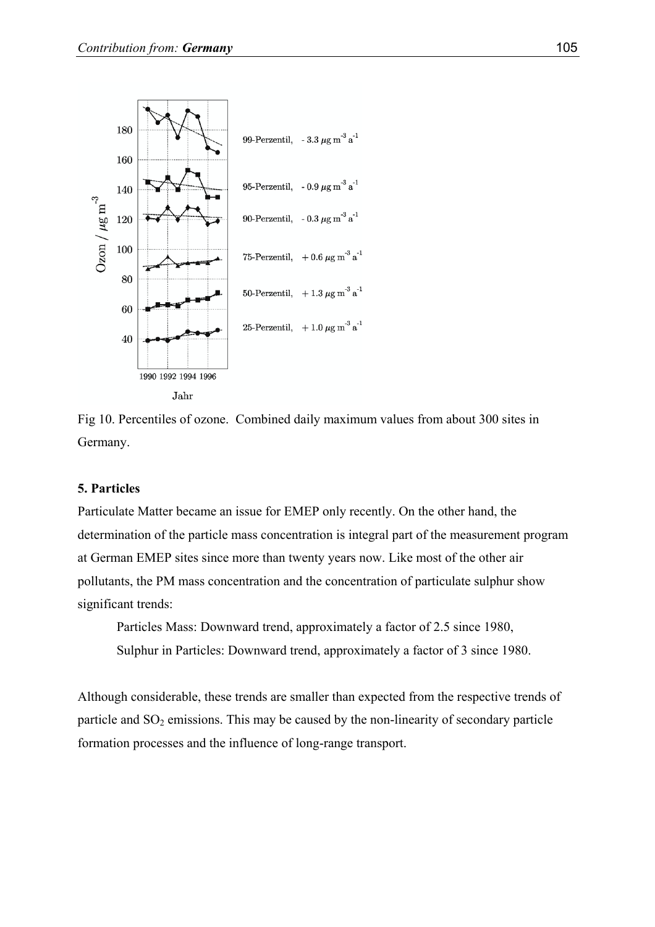![](_page_8_Figure_1.jpeg)

Fig 10. Percentiles of ozone. Combined daily maximum values from about 300 sites in Germany.

# **5. Particles**

Particulate Matter became an issue for EMEP only recently. On the other hand, the determination of the particle mass concentration is integral part of the measurement program at German EMEP sites since more than twenty years now. Like most of the other air pollutants, the PM mass concentration and the concentration of particulate sulphur show significant trends:

Particles Mass: Downward trend, approximately a factor of 2.5 since 1980, Sulphur in Particles: Downward trend, approximately a factor of 3 since 1980.

Although considerable, these trends are smaller than expected from the respective trends of particle and  $SO_2$  emissions. This may be caused by the non-linearity of secondary particle formation processes and the influence of long-range transport.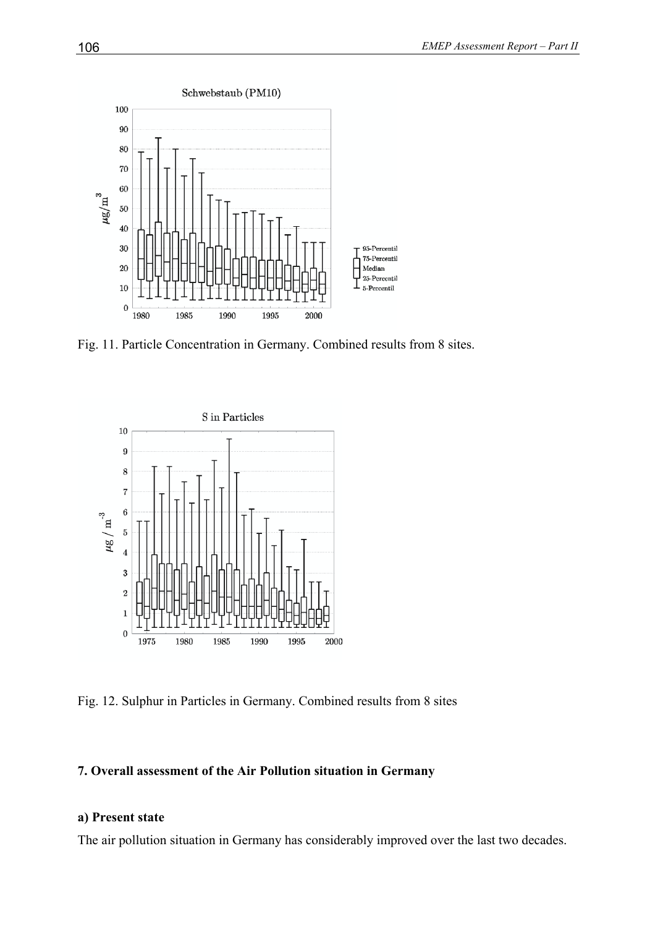![](_page_9_Figure_1.jpeg)

Fig. 11. Particle Concentration in Germany. Combined results from 8 sites.

![](_page_9_Figure_3.jpeg)

Fig. 12. Sulphur in Particles in Germany. Combined results from 8 sites

# **7. Overall assessment of the Air Pollution situation in Germany**

## **a) Present state**

The air pollution situation in Germany has considerably improved over the last two decades.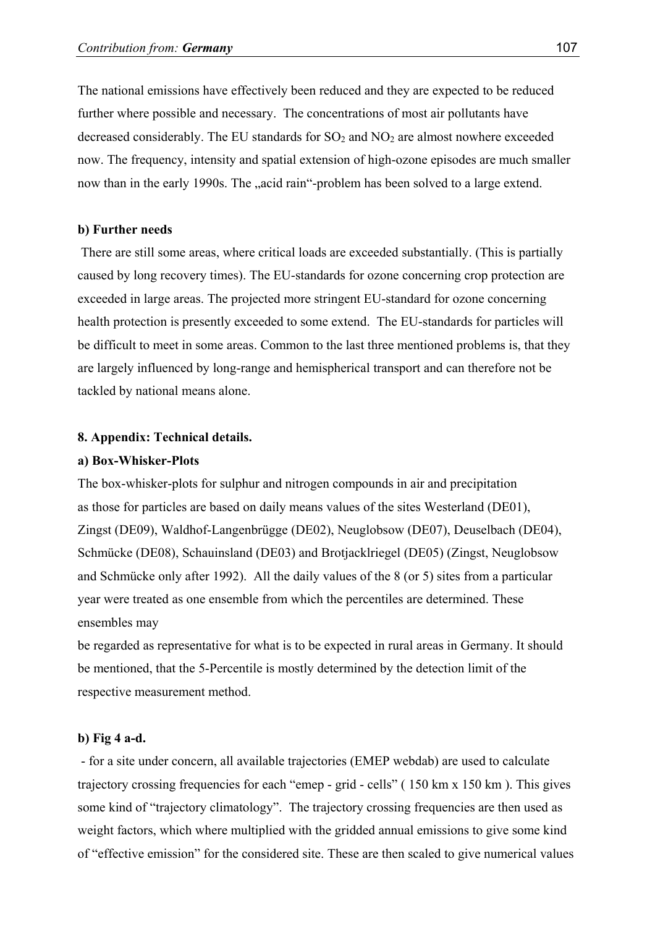The national emissions have effectively been reduced and they are expected to be reduced further where possible and necessary. The concentrations of most air pollutants have decreased considerably. The EU standards for  $SO_2$  and  $NO_2$  are almost nowhere exceeded now. The frequency, intensity and spatial extension of high-ozone episodes are much smaller now than in the early 1990s. The "acid rain"-problem has been solved to a large extend.

### **b) Further needs**

 There are still some areas, where critical loads are exceeded substantially. (This is partially caused by long recovery times). The EU-standards for ozone concerning crop protection are exceeded in large areas. The projected more stringent EU-standard for ozone concerning health protection is presently exceeded to some extend. The EU-standards for particles will be difficult to meet in some areas. Common to the last three mentioned problems is, that they are largely influenced by long-range and hemispherical transport and can therefore not be tackled by national means alone.

#### **8. Appendix: Technical details.**

#### **a) Box-Whisker-Plots**

The box-whisker-plots for sulphur and nitrogen compounds in air and precipitation as those for particles are based on daily means values of the sites Westerland (DE01), Zingst (DE09), Waldhof-Langenbrügge (DE02), Neuglobsow (DE07), Deuselbach (DE04), Schmücke (DE08), Schauinsland (DE03) and Brotjacklriegel (DE05) (Zingst, Neuglobsow and Schmücke only after 1992). All the daily values of the 8 (or 5) sites from a particular year were treated as one ensemble from which the percentiles are determined. These ensembles may

be regarded as representative for what is to be expected in rural areas in Germany. It should be mentioned, that the 5-Percentile is mostly determined by the detection limit of the respective measurement method.

### **b) Fig 4 a-d.**

 - for a site under concern, all available trajectories (EMEP webdab) are used to calculate trajectory crossing frequencies for each "emep - grid - cells" ( 150 km x 150 km ). This gives some kind of "trajectory climatology". The trajectory crossing frequencies are then used as weight factors, which where multiplied with the gridded annual emissions to give some kind of "effective emission" for the considered site. These are then scaled to give numerical values